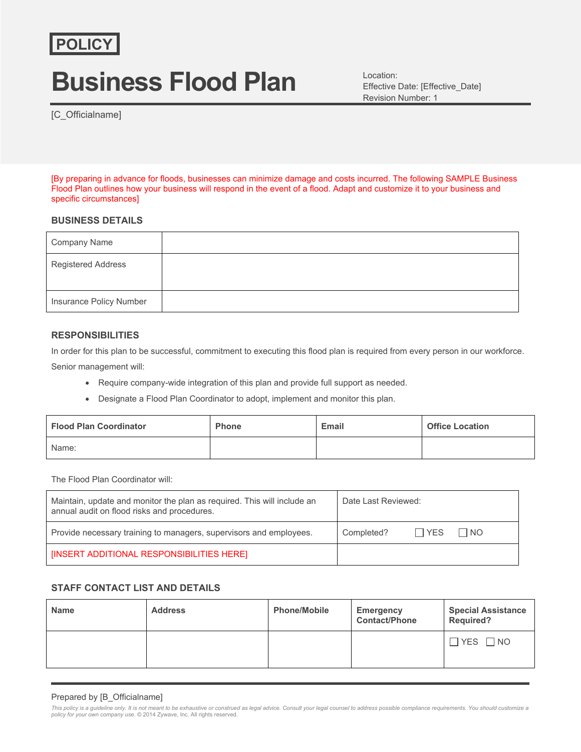# **Business Flood Plan**

Location: Effective Date: [Effective\_Date] Revision Number: 1

[C\_Officialname]

[By preparing in advance for floods, businesses can minimize damage and costs incurred. The following SAMPLE Business Flood Plan outlines how your business will respond in the event of a flood. Adapt and customize it to your business and specific circumstances]

## **BUSINESS DETAILS**

| Company Name              |  |
|---------------------------|--|
| <b>Registered Address</b> |  |
| Insurance Policy Number   |  |

## **RESPONSIBILITIES**

In order for this plan to be successful, commitment to executing this flood plan is required from every person in our workforce. Senior management will:

- Require company-wide integration of this plan and provide full support as needed.
- Designate a Flood Plan Coordinator to adopt, implement and monitor this plan.

| <b>Flood Plan Coordinator</b> | <b>Phone</b> | Email | <b>Office Location</b> |
|-------------------------------|--------------|-------|------------------------|
| Name:                         |              |       |                        |

The Flood Plan Coordinator will:

| Maintain, update and monitor the plan as required. This will include an<br>annual audit on flood risks and procedures. | Date Last Reviewed:              |  |
|------------------------------------------------------------------------------------------------------------------------|----------------------------------|--|
| Provide necessary training to managers, supervisors and employees.                                                     | $\Box$ YES<br>I NO<br>Completed? |  |
| <b>INSERT ADDITIONAL RESPONSIBILITIES HERE)</b>                                                                        |                                  |  |

#### **STAFF CONTACT LIST AND DETAILS**

| <b>Name</b> | <b>Address</b> | <b>Phone/Mobile</b> | <b>Emergency</b><br><b>Contact/Phone</b> | <b>Special Assistance</b><br><b>Required?</b> |
|-------------|----------------|---------------------|------------------------------------------|-----------------------------------------------|
|             |                |                     |                                          | $\Box$ YES $\Box$ NO                          |

#### Prepared by [B\_Officialname]

This policy is a guideline only. It is not meant to be exhaustive or construed as legal advice. Consult your legal counsel to address possible compliance requirements. You should customize a<br>policy for your own company use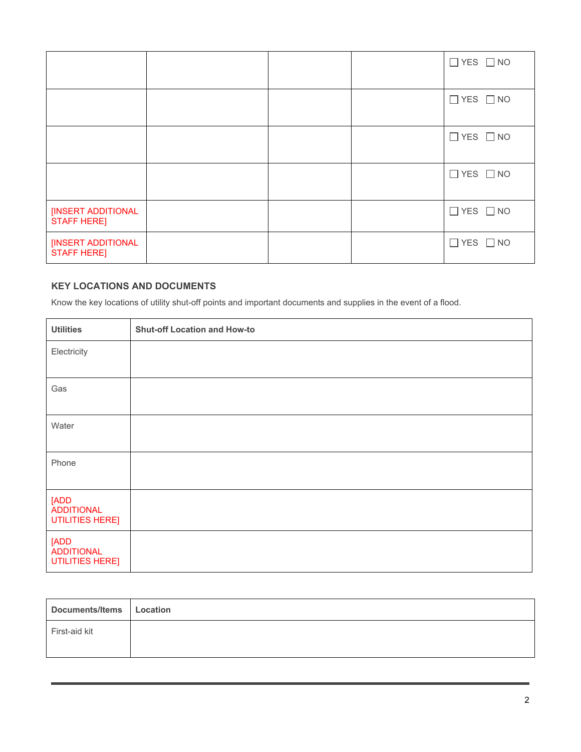|                                          |  | $\Box$ YES $\Box$ NO |
|------------------------------------------|--|----------------------|
|                                          |  | $\Box$ YES $\Box$ NO |
|                                          |  | $\Box$ YES $\Box$ NO |
|                                          |  | $\Box$ YES $\Box$ NO |
| [INSERT ADDITIONAL<br><b>STAFF HERE]</b> |  | $\Box$ YES $\Box$ NO |
| [INSERT ADDITIONAL<br><b>STAFF HERE]</b> |  | $\Box$ YES $\Box$ NO |

# **KEY LOCATIONS AND DOCUMENTS**

Know the key locations of utility shut-off points and important documents and supplies in the event of a flood.

| <b>Utilities</b>                             | <b>Shut-off Location and How-to</b> |
|----------------------------------------------|-------------------------------------|
| Electricity                                  |                                     |
|                                              |                                     |
| Gas                                          |                                     |
| Water                                        |                                     |
| Phone                                        |                                     |
| [ADD<br><b>ADDITIONAL</b><br>UTILITIES HERE] |                                     |
| [ADD<br>ADDITIONAL<br><b>UTILITIES HERE]</b> |                                     |

| Documents/Items   Location |  |
|----------------------------|--|
| First-aid kit              |  |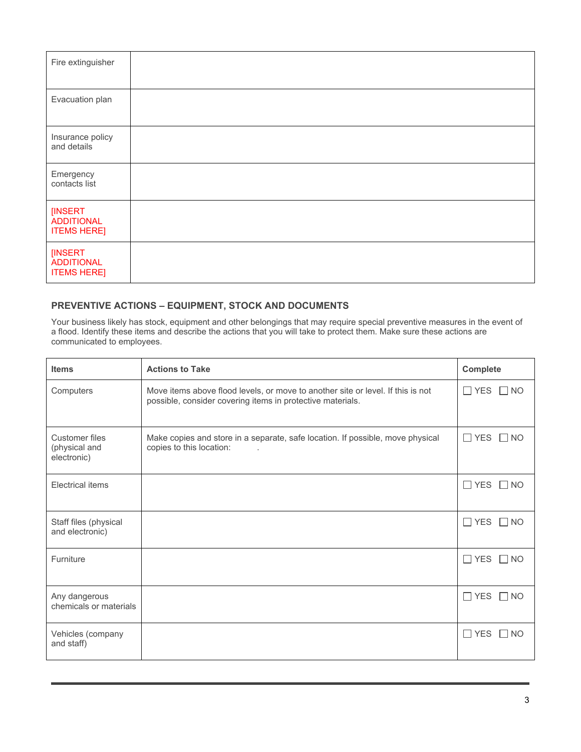| Fire extinguisher                                  |  |
|----------------------------------------------------|--|
| Evacuation plan                                    |  |
| Insurance policy<br>and details                    |  |
| Emergency<br>contacts list                         |  |
| [INSERT<br><b>ADDITIONAL</b><br><b>ITEMS HERE]</b> |  |
| [INSERT<br><b>ADDITIONAL</b><br><b>ITEMS HERE]</b> |  |

# **PREVENTIVE ACTIONS – EQUIPMENT, STOCK AND DOCUMENTS**

Your business likely has stock, equipment and other belongings that may require special preventive measures in the event of a flood. Identify these items and describe the actions that you will take to protect them. Make sure these actions are communicated to employees.

| <b>Items</b>                                   | <b>Actions to Take</b>                                                                                                                        | <b>Complete</b>         |
|------------------------------------------------|-----------------------------------------------------------------------------------------------------------------------------------------------|-------------------------|
| Computers                                      | Move items above flood levels, or move to another site or level. If this is not<br>possible, consider covering items in protective materials. | $\Box$ YES<br>$\Box$ NO |
| Customer files<br>(physical and<br>electronic) | Make copies and store in a separate, safe location. If possible, move physical<br>copies to this location:<br>$\sim$                          | $\Box$ YES $\Box$ NO    |
| <b>Electrical items</b>                        |                                                                                                                                               | $\Box$ YES<br>$\Box$ NO |
| Staff files (physical<br>and electronic)       |                                                                                                                                               | $\Box$ YES $\Box$ NO    |
| Furniture                                      |                                                                                                                                               | $\Box$ YES<br>$\Box$ NO |
| Any dangerous<br>chemicals or materials        |                                                                                                                                               | $\Box$ YES $\Box$ NO    |
| Vehicles (company<br>and staff)                |                                                                                                                                               | $\Box$ YES<br>$\Box$ NO |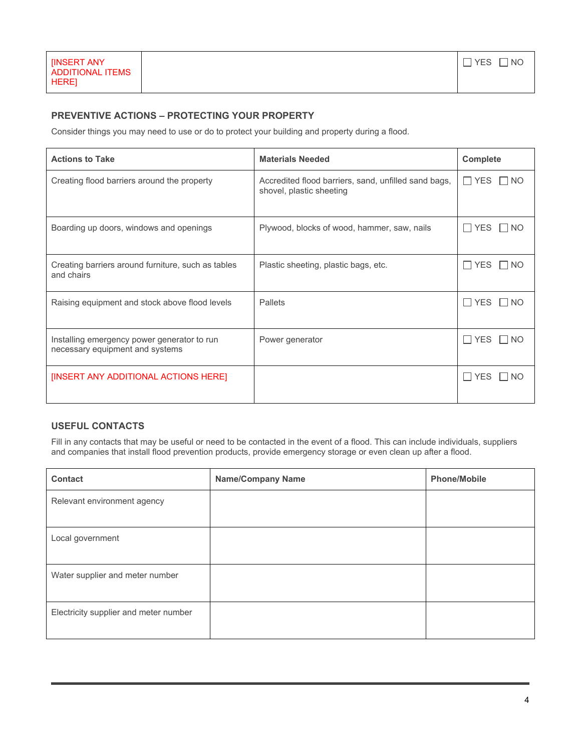## **PREVENTIVE ACTIONS – PROTECTING YOUR PROPERTY**

Consider things you may need to use or do to protect your building and property during a flood.

| <b>Actions to Take</b>                                                         | <b>Materials Needed</b>                                                          | <b>Complete</b>      |
|--------------------------------------------------------------------------------|----------------------------------------------------------------------------------|----------------------|
| Creating flood barriers around the property                                    | Accredited flood barriers, sand, unfilled sand bags,<br>shovel, plastic sheeting | $\Box$ YES<br>I NO   |
| Boarding up doors, windows and openings                                        | Plywood, blocks of wood, hammer, saw, nails                                      | $\Box$ YES $\Box$ NO |
| Creating barriers around furniture, such as tables<br>and chairs               | Plastic sheeting, plastic bags, etc.                                             | ∏ YES<br><b>NO</b>   |
| Raising equipment and stock above flood levels                                 | Pallets                                                                          | l IYES<br>I INO      |
| Installing emergency power generator to run<br>necessary equipment and systems | Power generator                                                                  | $\Box$ Yes<br>NO.    |
| [INSERT ANY ADDITIONAL ACTIONS HERE]                                           |                                                                                  | l I YES<br>NO.       |

# **USEFUL CONTACTS**

Fill in any contacts that may be useful or need to be contacted in the event of a flood. This can include individuals, suppliers and companies that install flood prevention products, provide emergency storage or even clean up after a flood.

| <b>Contact</b>                        | <b>Name/Company Name</b> | <b>Phone/Mobile</b> |
|---------------------------------------|--------------------------|---------------------|
| Relevant environment agency           |                          |                     |
|                                       |                          |                     |
| Local government                      |                          |                     |
|                                       |                          |                     |
| Water supplier and meter number       |                          |                     |
|                                       |                          |                     |
| Electricity supplier and meter number |                          |                     |
|                                       |                          |                     |